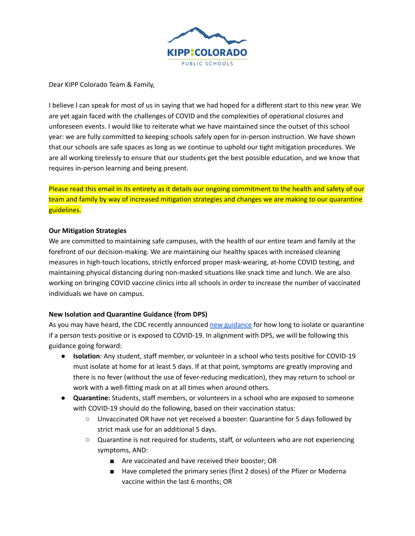

Dear KIPP Colorado Team & Family,

I believe I can speak for most of us in saying that we had hoped for a different start to this new year. We are yet again faced with the challenges of COVID and the complexities of operational closures and unforeseen events. I would like to reiterate what we have maintained since the outset of this school year: we are fully committed to keeping schools safely open for in-person instruction. We have shown that our schools are safe spaces as long as we continue to uphold our tight mitigation procedures. We are all working tirelessly to ensure that our students get the best possible education, and we know that requires in-person learning and being present.

Please read this email in its entirety as it details our ongoing commitment to the health and safety of our team and family by way of increased mitigation strategies and changes we are making to our quarantine guidelines.

# **Our Mitigation Strategies**

We are committed to maintaining safe campuses, with the health of our entire team and family at the forefront of our decision-making. We are maintaining our healthy spaces with increased cleaning measures in high-touch locations, strictly enforced proper mask-wearing, at-home COVID testing, and maintaining physical distancing during non-masked situations like snack time and lunch. We are also working on bringing COVID vaccine clinics into all schools in order to increase the number of vaccinated individuals we have on campus.

# **New Isolation and Quarantine Guidance (from DPS)**

As you may have heard, the CDC recently announced new [guidance](https://www.cdc.gov/media/releases/2021/s1227-isolation-quarantine-guidance.html) for how long to isolate or quarantine if a person tests positive or is exposed to COVID-19. In alignment with DPS, we will be following this guidance going forward:

- **● Isolation**: Any student, staff member, or volunteer in a school who tests positive for COVID-19 must isolate at home for at least 5 days. If at that point, symptoms are greatly improving and there is no fever (without the use of fever-reducing medication), they may return to school or work with a well-fitting mask on at all times when around others.
- **● Quarantine:** Students, staff members, or volunteers in a school who are exposed to someone with COVID-19 should do the following, based on their vaccination status:
	- **○** Unvaccinated OR have not yet received a booster: Quarantine for 5 days followed by strict mask use for an additional 5 days.
	- **○** Quarantine is not required for students, staff, or volunteers who are not experiencing symptoms, AND:
		- Are vaccinated and have received their booster; OR
		- Have completed the primary series (first 2 doses) of the Pfizer or Moderna vaccine within the last 6 months; OR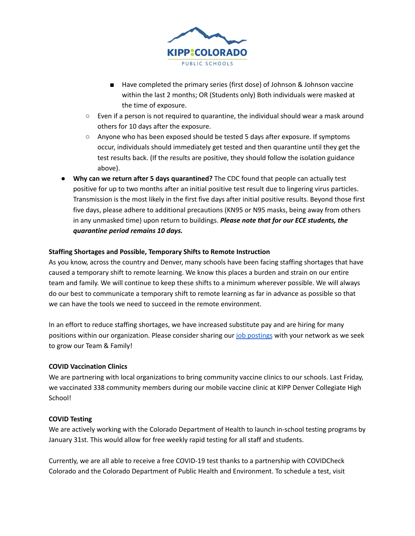

- Have completed the primary series (first dose) of Johnson & Johnson vaccine within the last 2 months; OR (Students only) Both individuals were masked at the time of exposure.
- **○** Even if a person is not required to quarantine, the individual should wear a mask around others for 10 days after the exposure.
- **○** Anyone who has been exposed should be tested 5 days after exposure. If symptoms occur, individuals should immediately get tested and then quarantine until they get the test results back. (If the results are positive, they should follow the isolation guidance above).
- **● Why can we return after 5 days quarantined?** The CDC found that people can actually test positive for up to two months after an initial positive test result due to lingering virus particles. Transmission is the most likely in the first five days after initial positive results. Beyond those first five days, please adhere to additional precautions (KN95 or N95 masks, being away from others in any unmasked time) upon return to buildings. *Please note that for our ECE students, the quarantine period remains 10 days.*

# **Staffing Shortages and Possible, Temporary Shifts to Remote Instruction**

As you know, across the country and Denver, many schools have been facing staffing shortages that have caused a temporary shift to remote learning. We know this places a burden and strain on our entire team and family. We will continue to keep these shifts to a minimum wherever possible. We will always do our best to communicate a temporary shift to remote learning as far in advance as possible so that we can have the tools we need to succeed in the remote environment.

In an effort to reduce staffing shortages, we have increased substitute pay and are hiring for many positions within our organization. Please consider sharing our job [postings](https://kippcolorado.org/join-our-team/open-positions/) with your network as we seek to grow our Team & Family!

# **COVID Vaccination Clinics**

We are partnering with local organizations to bring community vaccine clinics to our schools. Last Friday, we vaccinated 338 community members during our mobile vaccine clinic at KIPP Denver Collegiate High School!

# **COVID Testing**

We are actively working with the Colorado Department of Health to launch in-school testing programs by January 31st. This would allow for free weekly rapid testing for all staff and students.

Currently, we are all able to receive a free COVID-19 test thanks to a partnership with COVIDCheck Colorado and the Colorado Department of Public Health and Environment. To schedule a test, visit